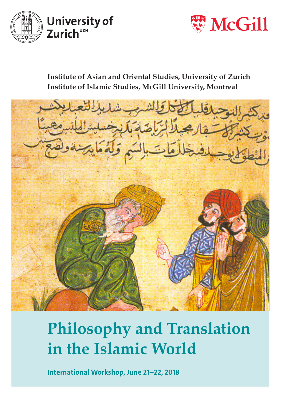



**Institute of Asian and Oriental Studies, University of Zurich Institute of Islamic Studies, McGill University, Montreal**



## **Philosophy and Translation in the Islamic World**

International Workshop, June 21–22, 2018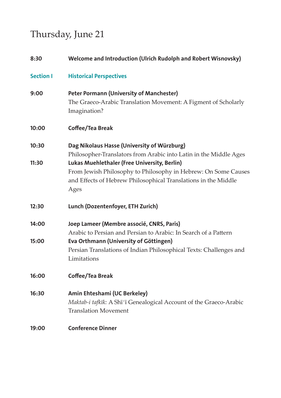## Thursday, June 21

| 8:30             | Welcome and Introduction (Ulrich Rudolph and Robert Wisnovsky)                                                                                                                           |
|------------------|------------------------------------------------------------------------------------------------------------------------------------------------------------------------------------------|
| <b>Section I</b> | <b>Historical Perspectives</b>                                                                                                                                                           |
| 9:00             | <b>Peter Pormann (University of Manchester)</b><br>The Graeco-Arabic Translation Movement: A Figment of Scholarly<br>Imagination?                                                        |
| 10:00            | Coffee/Tea Break                                                                                                                                                                         |
| 10:30            | Dag Nikolaus Hasse (University of Würzburg)<br>Philosopher-Translators from Arabic into Latin in the Middle Ages                                                                         |
| 11:30            | Lukas Muehlethaler (Free University, Berlin)<br>From Jewish Philosophy to Philosophy in Hebrew: On Some Causes<br>and Effects of Hebrew Philosophical Translations in the Middle<br>Ages |
| 12:30            | Lunch (Dozentenfoyer, ETH Zurich)                                                                                                                                                        |
| 14:00            | Joep Lameer (Membre associé, CNRS, Paris)<br>Arabic to Persian and Persian to Arabic: In Search of a Pattern                                                                             |
| 15:00            | Eva Orthmann (University of Göttingen)<br>Persian Translations of Indian Philosophical Texts: Challenges and<br>Limitations                                                              |
| 16:00            | Coffee/Tea Break                                                                                                                                                                         |
| 16:30            | Amin Ehteshami (UC Berkeley)<br>Maktab-i tafkīk: A Shī'ī Genealogical Account of the Graeco-Arabic<br><b>Translation Movement</b>                                                        |
| 19:00            | <b>Conference Dinner</b>                                                                                                                                                                 |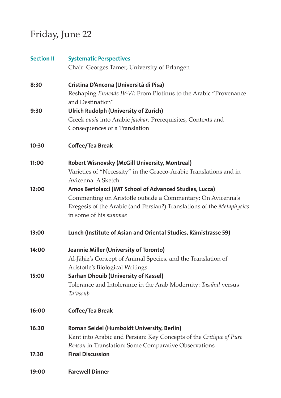## Friday, June 22

| <b>Section II</b> | <b>Systematic Perspectives</b>                                        |
|-------------------|-----------------------------------------------------------------------|
|                   | Chair: Georges Tamer, University of Erlangen                          |
| 8:30              | Cristina D'Ancona (Università di Pisa)                                |
|                   | Reshaping Enneads IV-VI: From Plotinus to the Arabic "Provenance      |
|                   | and Destination"                                                      |
| 9:30              | <b>Ulrich Rudolph (University of Zurich)</b>                          |
|                   | Greek ousia into Arabic jawhar: Prerequisites, Contexts and           |
|                   | Consequences of a Translation                                         |
| 10:30             | Coffee/Tea Break                                                      |
| 11:00             | Robert Wisnovsky (McGill University, Montreal)                        |
|                   | Varieties of "Necessity" in the Graeco-Arabic Translations and in     |
|                   | Avicenna: A Sketch                                                    |
| 12:00             | Amos Bertolacci (IMT School of Advanced Studies, Lucca)               |
|                   | Commenting on Aristotle outside a Commentary: On Avicenna's           |
|                   | Exegesis of the Arabic (and Persian?) Translations of the Metaphysics |
|                   | in some of his summae                                                 |
| 13:00             | Lunch (Institute of Asian and Oriental Studies, Rämistrasse 59)       |
| 14:00             | Jeannie Miller (University of Toronto)                                |
|                   | Al-Jāḥiẓ's Concept of Animal Species, and the Translation of          |
|                   | Aristotle's Biological Writings                                       |
| 15:00             | Sarhan Dhouib (University of Kassel)                                  |
|                   | Tolerance and Intolerance in the Arab Modernity: Tasāhul versus       |
|                   | Ta 'așșub                                                             |
| 16:00             | Coffee/Tea Break                                                      |
| 16:30             | Roman Seidel (Humboldt University, Berlin)                            |
|                   | Kant into Arabic and Persian: Key Concepts of the Critique of Pure    |
|                   | Reason in Translation: Some Comparative Observations                  |
| 17:30             | <b>Final Discussion</b>                                               |
| 19:00             | <b>Farewell Dinner</b>                                                |
|                   |                                                                       |